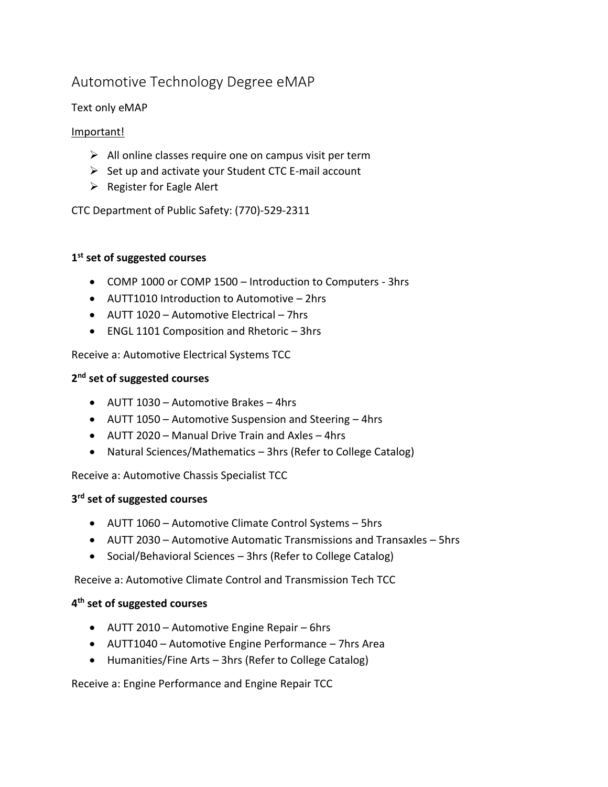# Automotive Technology Degree eMAP

## Text only eMAP

## Important!

- $\triangleright$  All online classes require one on campus visit per term
- $\triangleright$  Set up and activate your Student CTC E-mail account
- $\triangleright$  Register for Eagle Alert

CTC Department of Public Safety: (770)-529-2311

# **1 st set of suggested courses**

- COMP 1000 or COMP 1500 Introduction to Computers 3hrs
- AUTT1010 Introduction to Automotive 2hrs
- AUTT 1020 Automotive Electrical 7hrs
- ENGL 1101 Composition and Rhetoric 3hrs

Receive a: Automotive Electrical Systems TCC

## **2 nd set of suggested courses**

- AUTT 1030 Automotive Brakes 4hrs
- AUTT 1050 Automotive Suspension and Steering 4hrs
- AUTT 2020 Manual Drive Train and Axles 4hrs
- Natural Sciences/Mathematics 3hrs (Refer to College Catalog)

Receive a: Automotive Chassis Specialist TCC

## **3 rd set of suggested courses**

- AUTT 1060 Automotive Climate Control Systems 5hrs
- AUTT 2030 Automotive Automatic Transmissions and Transaxles 5hrs
- Social/Behavioral Sciences 3hrs (Refer to College Catalog)

Receive a: Automotive Climate Control and Transmission Tech TCC

#### **4 th set of suggested courses**

- AUTT 2010 Automotive Engine Repair 6hrs
- AUTT1040 Automotive Engine Performance 7hrs Area
- Humanities/Fine Arts 3hrs (Refer to College Catalog)

Receive a: Engine Performance and Engine Repair TCC